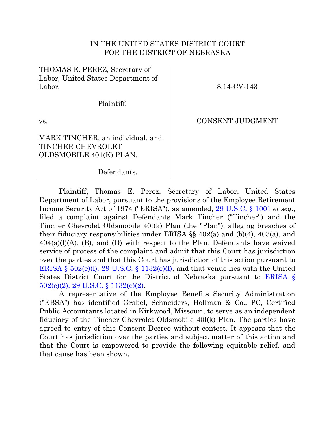## IN THE UNITED STATES DISTRICT COURT FOR THE DISTRICT OF NEBRASKA

THOMAS E. PEREZ, Secretary of Labor, United States Department of Labor,

8:14-CV-143

Plaintiff,

vs.

CONSENT JUDGMENT

MARK TINCHER, an individual, and TINCHER CHEVROLET OLDSMOBILE 401(K) PLAN,

Defendants.

Plaintiff, Thomas E. Perez, Secretary of Labor, United States Department of Labor, pursuant to the provisions of the Employee Retirement Income Security Act of 1974 ("ERISA"), as amended, [29 U.S.C. § 1001](http://westlaw.com/find/default.wl?ft=L&docname=29USCAS1001&rs=btil2.0&rp=%2ffind%2fdefault.wl&fn=_top&findtype=L&vr=2.0&db=1000546&wbtoolsId=29USCAS1001&HistoryType=F) *et seq*., filed a complaint against Defendants Mark Tincher ("Tincher") and the Tincher Chevrolet Oldsmobile 40l(k) Plan (the "Plan"), alleging breaches of their fiduciary responsibilities under ERISA §§ 402(a) and (b)(4), 403(a), and  $404(a)(l)(A)$ , (B), and (D) with respect to the Plan. Defendants have waived service of process of the complaint and admit that this Court has jurisdiction over the parties and that this Court has jurisdiction of this action pursuant to [ERISA § 502\(e\)\(l\), 29 U.S.C. § 1132\(e\)\(l\),](http://westlaw.com/find/default.wl?ft=L&docname=29USCAS1132&rs=btil2.0&rp=%2ffind%2fdefault.wl&fn=_top&findtype=L&vr=2.0&db=1000546&wbtoolsId=29USCAS1132&HistoryType=F) and that venue lies with the United States District Court for the District of Nebraska pursuant to [ERISA §](http://westlaw.com/find/default.wl?ft=L&docname=29USCAS1132&rs=btil2.0&rp=%2ffind%2fdefault.wl&fn=_top&findtype=L&vr=2.0&db=1000546&wbtoolsId=29USCAS1132&HistoryType=F)  [502\(e\)\(2\), 29 U.S.C. § 1132\(e\)\(2\).](http://westlaw.com/find/default.wl?ft=L&docname=29USCAS1132&rs=btil2.0&rp=%2ffind%2fdefault.wl&fn=_top&findtype=L&vr=2.0&db=1000546&wbtoolsId=29USCAS1132&HistoryType=F)

A representative of the Employee Benefits Security Administration ("EBSA") has identified Grabel, Schneiders, Hollman & Co., PC, Certified Public Accountants located in Kirkwood, Missouri, to serve as an independent fiduciary of the Tincher Chevrolet Oldsmobile 40l(k) Plan. The parties have agreed to entry of this Consent Decree without contest. It appears that the Court has jurisdiction over the parties and subject matter of this action and that the Court is empowered to provide the following equitable relief, and that cause has been shown.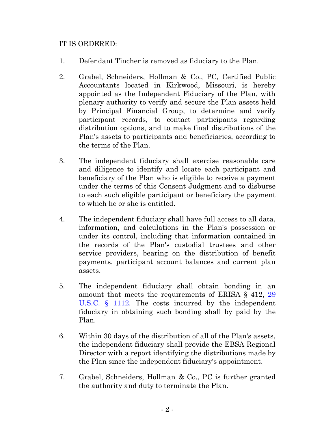## IT IS ORDERED:

- 1. Defendant Tincher is removed as fiduciary to the Plan.
- 2. Grabel, Schneiders, Hollman & Co., PC, Certified Public Accountants located in Kirkwood, Missouri, is hereby appointed as the Independent Fiduciary of the Plan, with plenary authority to verify and secure the Plan assets held by Principal Financial Group, to determine and verify participant records, to contact participants regarding distribution options, and to make final distributions of the Plan's assets to participants and beneficiaries, according to the terms of the Plan.
- 3. The independent fiduciary shall exercise reasonable care and diligence to identify and locate each participant and beneficiary of the Plan who is eligible to receive a payment under the terms of this Consent Judgment and to disburse to each such eligible participant or beneficiary the payment to which he or she is entitled.
- 4. The independent fiduciary shall have full access to all data, information, and calculations in the Plan's possession or under its control, including that information contained in the records of the Plan's custodial trustees and other service providers, bearing on the distribution of benefit payments, participant account balances and current plan assets.
- 5. The independent fiduciary shall obtain bonding in an amount that meets the requirements of ERISA § 412, [29](http://westlaw.com/find/default.wl?ft=L&docname=29USCAS1112&rs=btil2.0&rp=%2ffind%2fdefault.wl&fn=_top&findtype=L&vr=2.0&db=1000546&wbtoolsId=29USCAS1112&HistoryType=F)  [U.S.C. § 1112.](http://westlaw.com/find/default.wl?ft=L&docname=29USCAS1112&rs=btil2.0&rp=%2ffind%2fdefault.wl&fn=_top&findtype=L&vr=2.0&db=1000546&wbtoolsId=29USCAS1112&HistoryType=F) The costs incurred by the independent fiduciary in obtaining such bonding shall by paid by the Plan.
- 6. Within 30 days of the distribution of all of the Plan's assets, the independent fiduciary shall provide the EBSA Regional Director with a report identifying the distributions made by the Plan since the independent fiduciary's appointment.
- 7. Grabel, Schneiders, Hollman & Co., PC is further granted the authority and duty to terminate the Plan.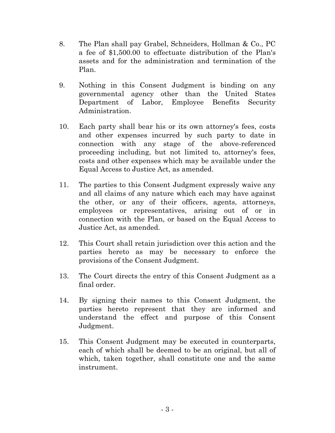- 8. The Plan shall pay Grabel, Schneiders, Hollman & Co., PC a fee of \$1,500.00 to effectuate distribution of the Plan's assets and for the administration and termination of the Plan.
- 9. Nothing in this Consent Judgment is binding on any governmental agency other than the United States Department of Labor, Employee Benefits Security Administration.
- 10. Each party shall bear his or its own attorney's fees, costs and other expenses incurred by such party to date in connection with any stage of the above-referenced proceeding including, but not limited to, attorney's fees, costs and other expenses which may be available under the Equal Access to Justice Act, as amended.
- 11. The parties to this Consent Judgment expressly waive any and all claims of any nature which each may have against the other, or any of their officers, agents, attorneys, employees or representatives, arising out of or in connection with the Plan, or based on the Equal Access to Justice Act, as amended.
- 12. This Court shall retain jurisdiction over this action and the parties hereto as may be necessary to enforce the provisions of the Consent Judgment.
- 13. The Court directs the entry of this Consent Judgment as a final order.
- 14. By signing their names to this Consent Judgment, the parties hereto represent that they are informed and understand the effect and purpose of this Consent Judgment.
- 15. This Consent Judgment may be executed in counterparts, each of which shall be deemed to be an original, but all of which, taken together, shall constitute one and the same instrument.